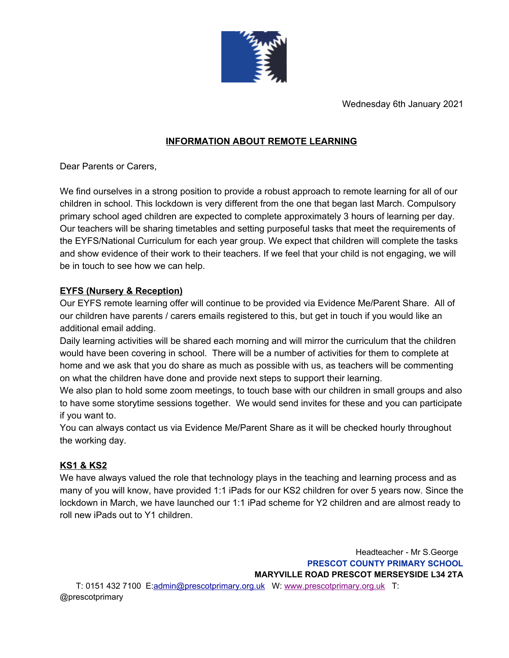

Wednesday 6th January 2021

# **INFORMATION ABOUT REMOTE LEARNING**

Dear Parents or Carers,

We find ourselves in a strong position to provide a robust approach to remote learning for all of our children in school. This lockdown is very different from the one that began last March. Compulsory primary school aged children are expected to complete approximately 3 hours of learning per day. Our teachers will be sharing timetables and setting purposeful tasks that meet the requirements of the EYFS/National Curriculum for each year group. We expect that children will complete the tasks and show evidence of their work to their teachers. If we feel that your child is not engaging, we will be in touch to see how we can help.

## **EYFS (Nursery & Reception)**

Our EYFS remote learning offer will continue to be provided via Evidence Me/Parent Share. All of our children have parents / carers emails registered to this, but get in touch if you would like an additional email adding.

Daily learning activities will be shared each morning and will mirror the curriculum that the children would have been covering in school. There will be a number of activities for them to complete at home and we ask that you do share as much as possible with us, as teachers will be commenting on what the children have done and provide next steps to support their learning.

We also plan to hold some zoom meetings, to touch base with our children in small groups and also to have some storytime sessions together. We would send invites for these and you can participate if you want to.

You can always contact us via Evidence Me/Parent Share as it will be checked hourly throughout the working day.

## **KS1 & KS2**

We have always valued the role that technology plays in the teaching and learning process and as many of you will know, have provided 1:1 iPads for our KS2 children for over 5 years now. Since the lockdown in March, we have launched our 1:1 iPad scheme for Y2 children and are almost ready to roll new iPads out to Y1 children.

Headteacher - Mr S.George **PRESCOT COUNTY PRIMARY SCHOOL MARYVILLE ROAD PRESCOT MERSEYSIDE L34 2TA** T: 0151 432 7100 E:admin@prescotprimary.org.uk W: [www.prescotprimary.org.uk](http://www.prescotprimary.org.uk/) T: @prescotprimary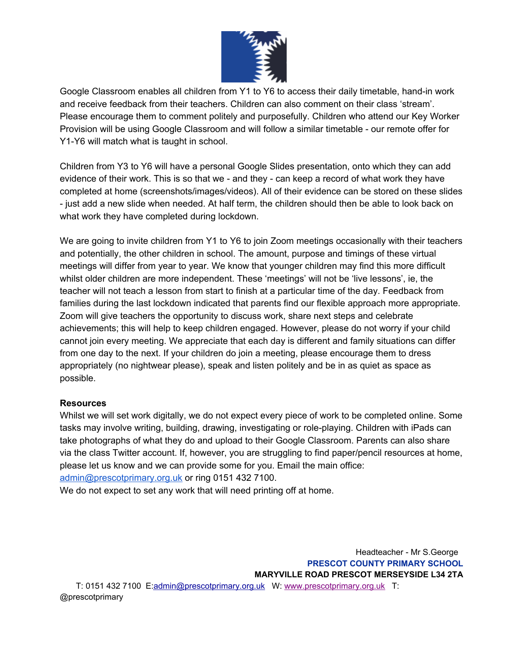

Google Classroom enables all children from Y1 to Y6 to access their daily timetable, hand-in work and receive feedback from their teachers. Children can also comment on their class 'stream'. Please encourage them to comment politely and purposefully. Children who attend our Key Worker Provision will be using Google Classroom and will follow a similar timetable - our remote offer for Y1-Y6 will match what is taught in school.

Children from Y3 to Y6 will have a personal Google Slides presentation, onto which they can add evidence of their work. This is so that we - and they - can keep a record of what work they have completed at home (screenshots/images/videos). All of their evidence can be stored on these slides - just add a new slide when needed. At half term, the children should then be able to look back on what work they have completed during lockdown.

We are going to invite children from Y1 to Y6 to join Zoom meetings occasionally with their teachers and potentially, the other children in school. The amount, purpose and timings of these virtual meetings will differ from year to year. We know that younger children may find this more difficult whilst older children are more independent. These 'meetings' will not be 'live lessons', ie, the teacher will not teach a lesson from start to finish at a particular time of the day. Feedback from families during the last lockdown indicated that parents find our flexible approach more appropriate. Zoom will give teachers the opportunity to discuss work, share next steps and celebrate achievements; this will help to keep children engaged. However, please do not worry if your child cannot join every meeting. We appreciate that each day is different and family situations can differ from one day to the next. If your children do join a meeting, please encourage them to dress appropriately (no nightwear please), speak and listen politely and be in as quiet as space as possible.

### **Resources**

Whilst we will set work digitally, we do not expect every piece of work to be completed online. Some tasks may involve writing, building, drawing, investigating or role-playing. Children with iPads can take photographs of what they do and upload to their Google Classroom. Parents can also share via the class Twitter account. If, however, you are struggling to find paper/pencil resources at home, please let us know and we can provide some for you. Email the main office: [admin@prescotprimary.org.uk](mailto:admin@prescotprimary.org.uk) or ring 0151 432 7100.

We do not expect to set any work that will need printing off at home.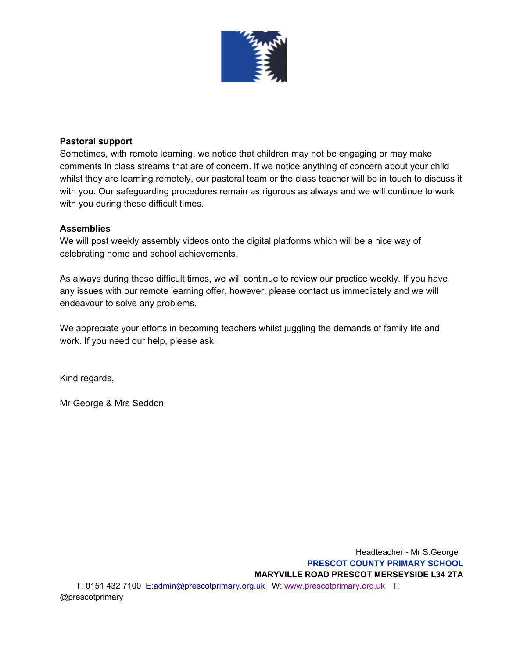

#### **Pastoral support**

Sometimes, with remote learning, we notice that children may not be engaging or may make comments in class streams that are of concern. If we notice anything of concern about your child whilst they are learning remotely, our pastoral team or the class teacher will be in touch to discuss it with you. Our safeguarding procedures remain as rigorous as always and we will continue to work with you during these difficult times.

#### **Assemblies**

We will post weekly assembly videos onto the digital platforms which will be a nice way of celebrating home and school achievements.

As always during these difficult times, we will continue to review our practice weekly. If you have any issues with our remote learning offer, however, please contact us immediately and we will endeavour to solve any problems.

We appreciate your efforts in becoming teachers whilst juggling the demands of family life and work. If you need our help, please ask.

Kind regards,

Mr George & Mrs Seddon